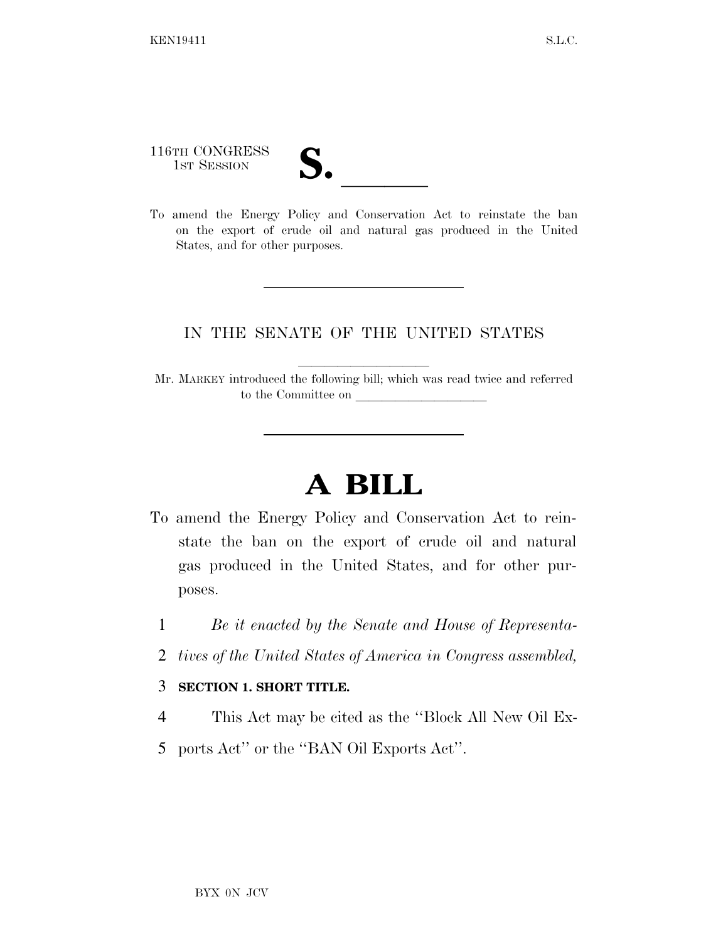116TH CONGRESS

116TH CONGRESS<br>
1ST SESSION<br>
To amend the Energy Policy and Conservation Act to reinstate the ban on the export of crude oil and natural gas produced in the United States, and for other purposes.

## IN THE SENATE OF THE UNITED STATES

Mr. MARKEY introduced the following bill; which was read twice and referred to the Committee on

## **A BILL**

- To amend the Energy Policy and Conservation Act to reinstate the ban on the export of crude oil and natural gas produced in the United States, and for other purposes.
	- 1 *Be it enacted by the Senate and House of Representa-*
	- 2 *tives of the United States of America in Congress assembled,*

## 3 **SECTION 1. SHORT TITLE.**

- 4 This Act may be cited as the ''Block All New Oil Ex-
- 5 ports Act'' or the ''BAN Oil Exports Act''.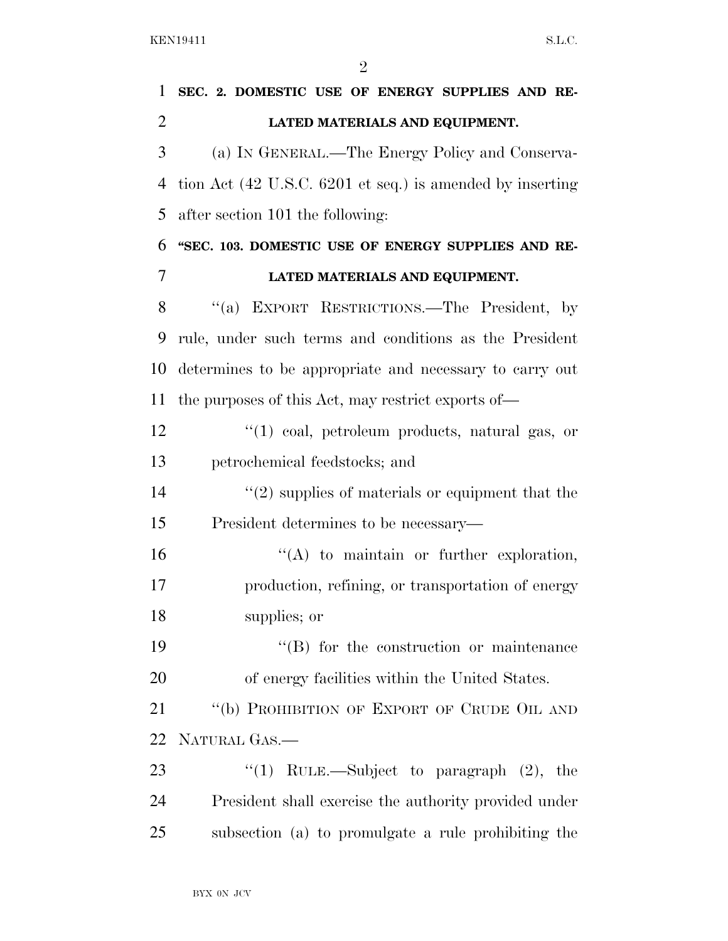$\mathfrak{D}$ 

 **SEC. 2. DOMESTIC USE OF ENERGY SUPPLIES AND RE- LATED MATERIALS AND EQUIPMENT.**  (a) IN GENERAL.—The Energy Policy and Conserva- tion Act (42 U.S.C. 6201 et seq.) is amended by inserting after section 101 the following: **''SEC. 103. DOMESTIC USE OF ENERGY SUPPLIES AND RE- LATED MATERIALS AND EQUIPMENT.**  ''(a) EXPORT RESTRICTIONS.—The President, by rule, under such terms and conditions as the President determines to be appropriate and necessary to carry out the purposes of this Act, may restrict exports of— ''(1) coal, petroleum products, natural gas, or petrochemical feedstocks; and 14 ''(2) supplies of materials or equipment that the President determines to be necessary—  $\langle A \rangle$  to maintain or further exploration, production, refining, or transportation of energy supplies; or  $\langle G \rangle$  for the construction or maintenance of energy facilities within the United States. 21 "(b) PROHIBITION OF EXPORT OF CRUDE OIL AND NATURAL GAS.— 23 "(1) RULE.—Subject to paragraph (2), the President shall exercise the authority provided under subsection (a) to promulgate a rule prohibiting the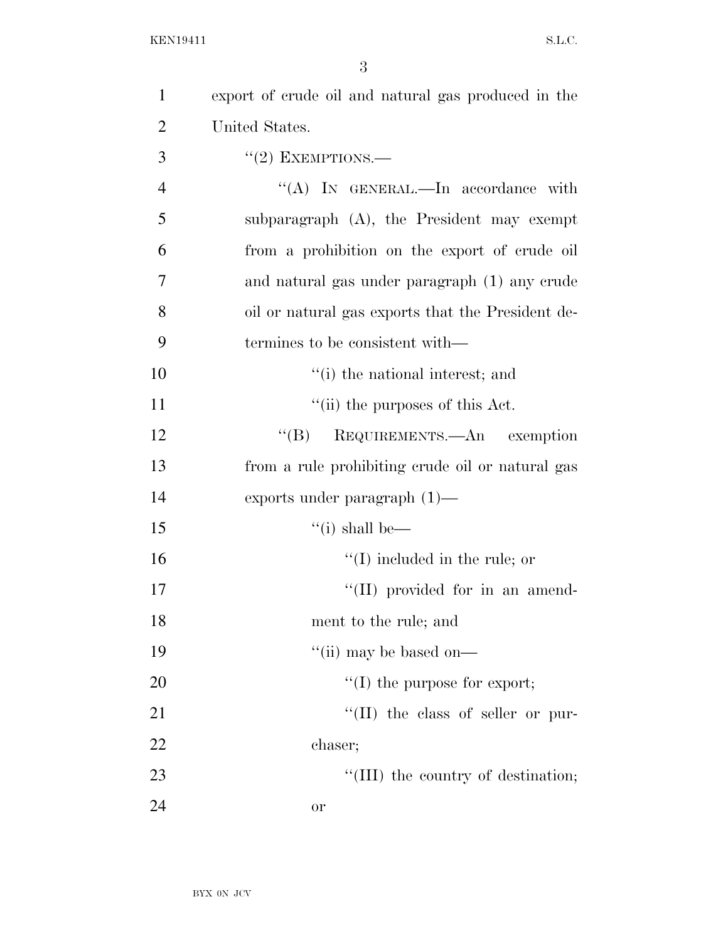| $\mathbf{1}$   | export of crude oil and natural gas produced in the |
|----------------|-----------------------------------------------------|
| $\overline{2}$ | United States.                                      |
| 3              | $"(2)$ EXEMPTIONS.—                                 |
| $\overline{4}$ | "(A) IN GENERAL.—In accordance with                 |
| 5              | subparagraph $(A)$ , the President may exempt       |
| 6              | from a prohibition on the export of crude oil       |
| 7              | and natural gas under paragraph (1) any crude       |
| 8              | oil or natural gas exports that the President de-   |
| 9              | termines to be consistent with—                     |
| 10             | "(i) the national interest; and                     |
| 11             | "(ii) the purposes of this Act.                     |
| 12             | REQUIREMENTS.—An exemption<br>$\lq\lq (B)$          |
| 13             | from a rule prohibiting crude oil or natural gas    |
| 14             | exports under paragraph $(1)$ —                     |
| 15             | "(i) shall be—                                      |
| 16             | $\lq\lq$ (I) included in the rule; or               |
| 17             | "(II) provided for in an amend-                     |
| 18             | ment to the rule; and                               |
| 19             | "(ii) may be based on— $\overline{\phantom{a}}$     |
| 20             | $\lq\lq$ (I) the purpose for export;                |
| 21             | $\lq\lq$ (II) the class of seller or pur-           |
| 22             | chaser;                                             |
| 23             | "(III) the country of destination;                  |
| 24             | 0r                                                  |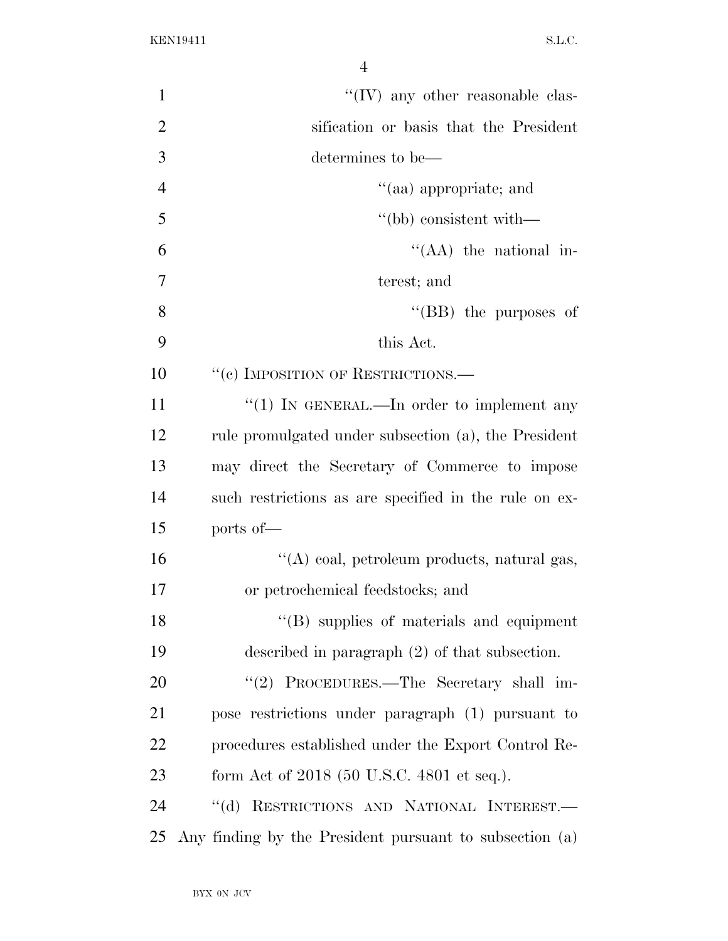| $\mathbf{1}$   | $\lq\lq$ (IV) any other reasonable clas-                |
|----------------|---------------------------------------------------------|
| $\overline{2}$ | sification or basis that the President                  |
| 3              | determines to be—                                       |
| $\overline{4}$ | "(aa) appropriate; and                                  |
| 5              | "(bb) consistent with—                                  |
| 6              | $\lq\lq$ (AA) the national in-                          |
| 7              | terest; and                                             |
| 8              | "(BB) the purposes of                                   |
| 9              | this Act.                                               |
| 10             | "(e) IMPOSITION OF RESTRICTIONS.—                       |
| 11             | "(1) IN GENERAL.—In order to implement any              |
| 12             | rule promulgated under subsection (a), the President    |
| 13             | may direct the Secretary of Commerce to impose          |
| 14             | such restrictions as are specified in the rule on ex-   |
| 15             | ports of-                                               |
| 16             | "(A) coal, petroleum products, natural gas,             |
| 17             | or petrochemical feedstocks; and                        |
| 18             | "(B) supplies of materials and equipment                |
| 19             | described in paragraph $(2)$ of that subsection.        |
| 20             | "(2) PROCEDURES.—The Secretary shall im-                |
| 21             | pose restrictions under paragraph (1) pursuant to       |
| 22             | procedures established under the Export Control Re-     |
| 23             | form Act of 2018 (50 U.S.C. 4801 et seq.).              |
| 24             | "(d) RESTRICTIONS AND NATIONAL INTEREST.-               |
| 25             | Any finding by the President pursuant to subsection (a) |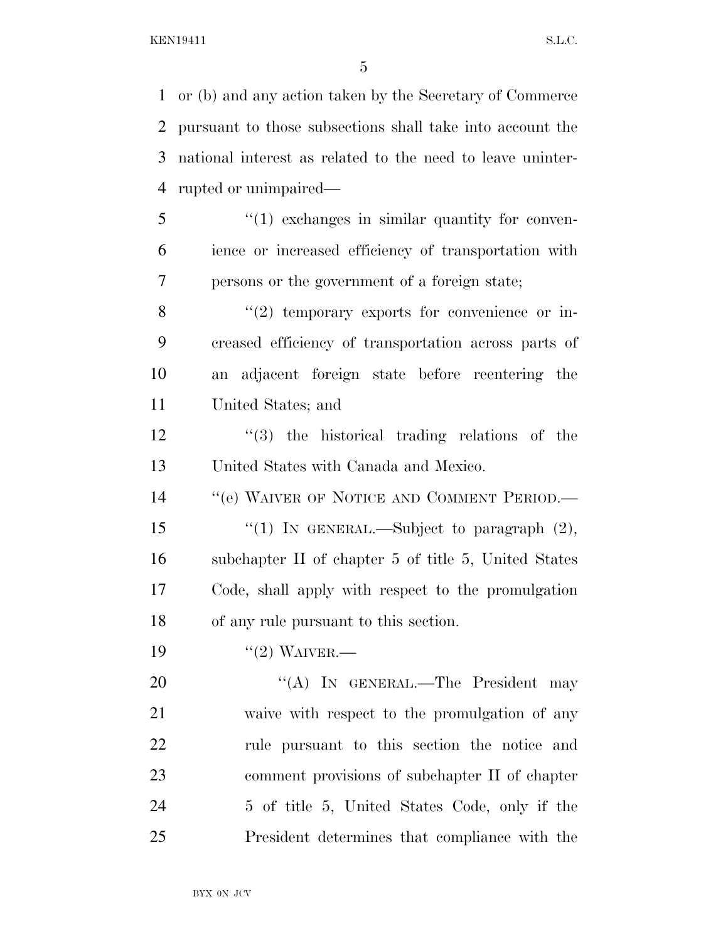or (b) and any action taken by the Secretary of Commerce pursuant to those subsections shall take into account the national interest as related to the need to leave uninter- rupted or unimpaired— 5 "(1) exchanges in similar quantity for conven- ience or increased efficiency of transportation with persons or the government of a foreign state; ''(2) temporary exports for convenience or in- creased efficiency of transportation across parts of an adjacent foreign state before reentering the United States; and ''(3) the historical trading relations of the United States with Canada and Mexico. 14 "(e) WAIVER OF NOTICE AND COMMENT PERIOD.—

15 "(1) IN GENERAL.—Subject to paragraph  $(2)$ , subchapter II of chapter 5 of title 5, United States Code, shall apply with respect to the promulgation of any rule pursuant to this section.

19 "(2) WAIVER.—

20 "(A) In GENERAL.—The President may waive with respect to the promulgation of any rule pursuant to this section the notice and comment provisions of subchapter II of chapter 5 of title 5, United States Code, only if the President determines that compliance with the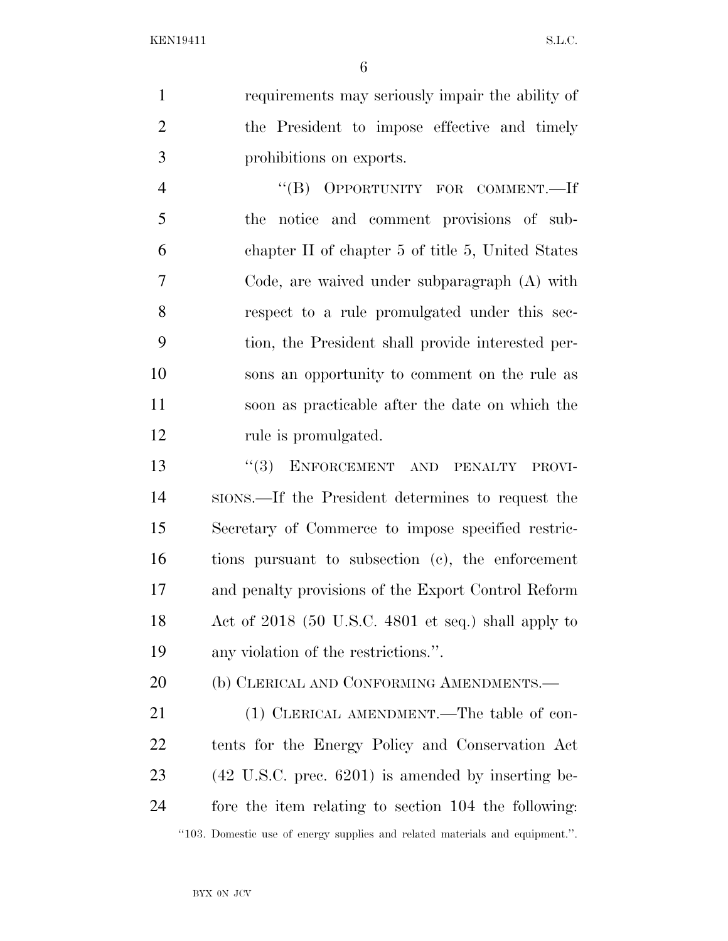requirements may seriously impair the ability of the President to impose effective and timely prohibitions on exports.

 ''(B) OPPORTUNITY FOR COMMENT.—If the notice and comment provisions of sub- chapter II of chapter 5 of title 5, United States Code, are waived under subparagraph (A) with respect to a rule promulgated under this sec- tion, the President shall provide interested per- sons an opportunity to comment on the rule as soon as practicable after the date on which the 12 rule is promulgated.

13 "(3) ENFORCEMENT AND PENALTY PROVI- SIONS.—If the President determines to request the Secretary of Commerce to impose specified restric- tions pursuant to subsection (c), the enforcement and penalty provisions of the Export Control Reform Act of 2018 (50 U.S.C. 4801 et seq.) shall apply to any violation of the restrictions.''.

20 (b) CLERICAL AND CONFORMING AMENDMENTS.—

21 (1) CLERICAL AMENDMENT.—The table of con- tents for the Energy Policy and Conservation Act (42 U.S.C. prec. 6201) is amended by inserting be- fore the item relating to section 104 the following: ''103. Domestic use of energy supplies and related materials and equipment.''.